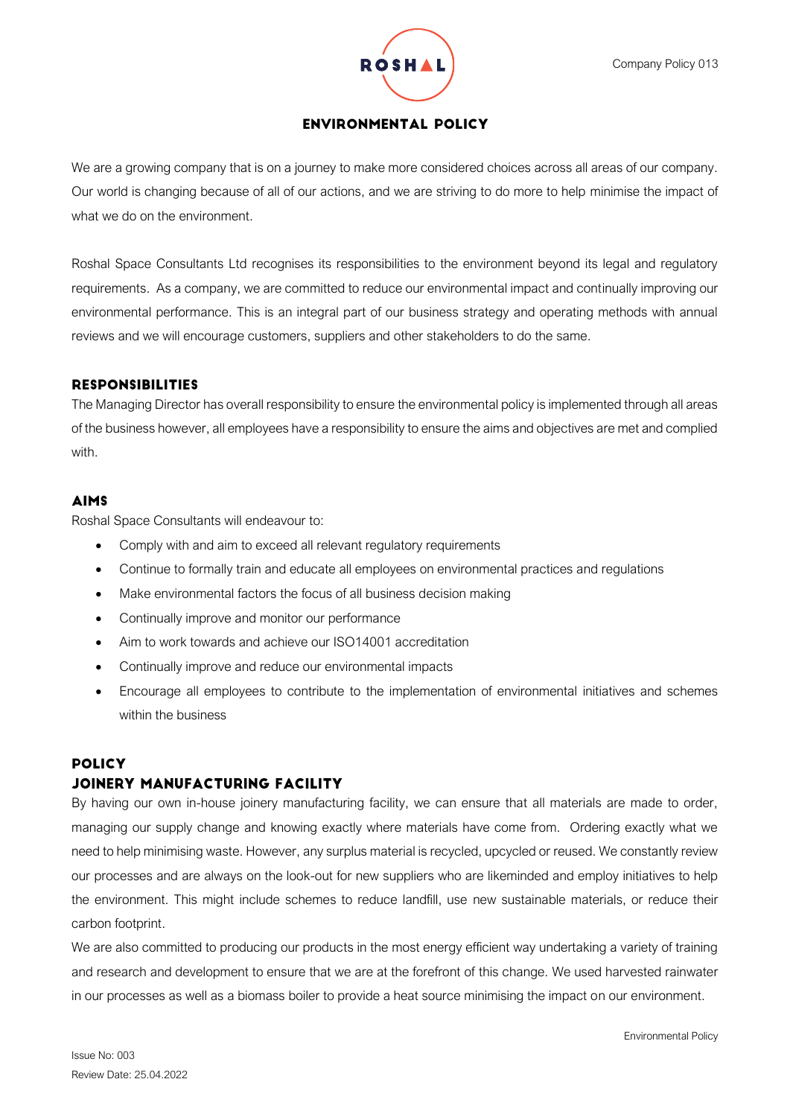

# **ENVIRONMENTAL POLICY**

We are a growing company that is on a journey to make more considered choices across all areas of our company. Our world is changing because of all of our actions, and we are striving to do more to help minimise the impact of what we do on the environment.

Roshal Space Consultants Ltd recognises its responsibilities to the environment beyond its legal and regulatory requirements. As a company, we are committed to reduce our environmental impact and continually improving our environmental performance. This is an integral part of our business strategy and operating methods with annual reviews and we will encourage customers, suppliers and other stakeholders to do the same.

### **RESPONSIBILITIES**

The Managing Director has overall responsibility to ensure the environmental policy is implemented through all areas of the business however, all employees have a responsibility to ensure the aims and objectives are met and complied with.

# **AIMS**

Roshal Space Consultants will endeavour to:

- Comply with and aim to exceed all relevant regulatory requirements
- Continue to formally train and educate all employees on environmental practices and regulations
- Make environmental factors the focus of all business decision making
- Continually improve and monitor our performance
- Aim to work towards and achieve our ISO14001 accreditation
- Continually improve and reduce our environmental impacts
- Encourage all employees to contribute to the implementation of environmental initiatives and schemes within the business

# **POLICY**

# JOINERY MANUFACTURING FACILITY

By having our own in-house joinery manufacturing facility, we can ensure that all materials are made to order, managing our supply change and knowing exactly where materials have come from. Ordering exactly what we need to help minimising waste. However, any surplus material is recycled, upcycled or reused. We constantly review our processes and are always on the look-out for new suppliers who are likeminded and employ initiatives to help the environment. This might include schemes to reduce landfill, use new sustainable materials, or reduce their carbon footprint.

We are also committed to producing our products in the most energy efficient way undertaking a variety of training and research and development to ensure that we are at the forefront of this change. We used harvested rainwater in our processes as well as a biomass boiler to provide a heat source minimising the impact on our environment.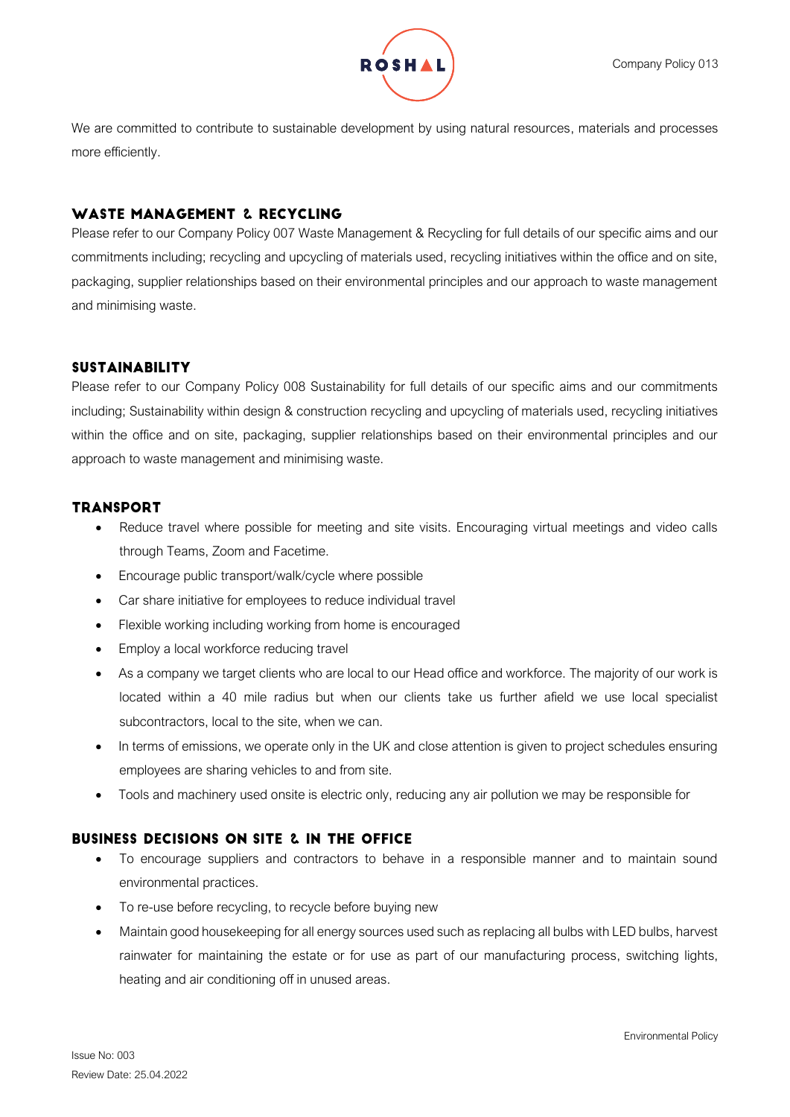

We are committed to contribute to sustainable development by using natural resources, materials and processes more efficiently.

## WASTE MANAGEMENT 2. RECYCLING

Please refer to our Company Policy 007 Waste Management & Recycling for full details of our specific aims and our commitments including; recycling and upcycling of materials used, recycling initiatives within the office and on site, packaging, supplier relationships based on their environmental principles and our approach to waste management and minimising waste.

## **SUSTAINABILITY**

Please refer to our Company Policy 008 Sustainability for full details of our specific aims and our commitments including; Sustainability within design & construction recycling and upcycling of materials used, recycling initiatives within the office and on site, packaging, supplier relationships based on their environmental principles and our approach to waste management and minimising waste.

### **TRANSPORT**

- Reduce travel where possible for meeting and site visits. Encouraging virtual meetings and video calls through Teams, Zoom and Facetime.
- Encourage public transport/walk/cycle where possible
- Car share initiative for employees to reduce individual travel
- Flexible working including working from home is encouraged
- Employ a local workforce reducing travel
- As a company we target clients who are local to our Head office and workforce. The majority of our work is located within a 40 mile radius but when our clients take us further afield we use local specialist subcontractors, local to the site, when we can.
- In terms of emissions, we operate only in the UK and close attention is given to project schedules ensuring employees are sharing vehicles to and from site.
- Tools and machinery used onsite is electric only, reducing any air pollution we may be responsible for

#### **BUSINESS DECISIONS ON SITE 2. IN THE OFFICE**

- To encourage suppliers and contractors to behave in a responsible manner and to maintain sound environmental practices.
- To re-use before recycling, to recycle before buying new
- Maintain good housekeeping for all energy sources used such as replacing all bulbs with LED bulbs, harvest rainwater for maintaining the estate or for use as part of our manufacturing process, switching lights, heating and air conditioning off in unused areas.